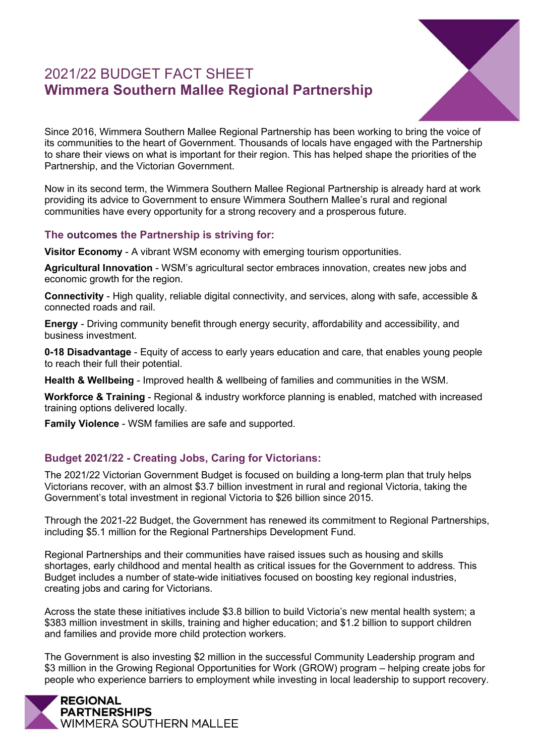# 2021/22 BUDGET FACT SHEET **Wimmera Southern Mallee Regional Partnership**



Since 2016, Wimmera Southern Mallee Regional Partnership has been working to bring the voice of its communities to the heart of Government. Thousands of locals have engaged with the Partnership to share their views on what is important for their region. This has helped shape the priorities of the Partnership, and the Victorian Government.

Now in its second term, the Wimmera Southern Mallee Regional Partnership is already hard at work providing its advice to Government to ensure Wimmera Southern Mallee's rural and regional communities have every opportunity for a strong recovery and a prosperous future.

## **The outcomes the Partnership is striving for:**

**Visitor Economy** - A vibrant WSM economy with emerging tourism opportunities.

**Agricultural Innovation** - WSM's agricultural sector embraces innovation, creates new jobs and economic growth for the region.

**Connectivity** - High quality, reliable digital connectivity, and services, along with safe, accessible & connected roads and rail.

**Energy** - Driving community benefit through energy security, affordability and accessibility, and business investment.

**0-18 Disadvantage** - Equity of access to early years education and care, that enables young people to reach their full their potential.

**Health & Wellbeing** - Improved health & wellbeing of families and communities in the WSM.

**Workforce & Training** - Regional & industry workforce planning is enabled, matched with increased training options delivered locally.

**Family Violence** - WSM families are safe and supported.

## **Budget 2021/22 - Creating Jobs, Caring for Victorians:**

The 2021/22 Victorian Government Budget is focused on building a long-term plan that truly helps Victorians recover, with an almost \$3.7 billion investment in rural and regional Victoria, taking the Government's total investment in regional Victoria to \$26 billion since 2015.

Through the 2021-22 Budget, the Government has renewed its commitment to Regional Partnerships, including \$5.1 million for the Regional Partnerships Development Fund.

Regional Partnerships and their communities have raised issues such as housing and skills shortages, early childhood and mental health as critical issues for the Government to address. This Budget includes a number of state-wide initiatives focused on boosting key regional industries, creating jobs and caring for Victorians.

Across the state these initiatives include \$3.8 billion to build Victoria's new mental health system; a \$383 million investment in skills, training and higher education; and \$1.2 billion to support children and families and provide more child protection workers.

The Government is also investing \$2 million in the successful Community Leadership program and \$3 million in the Growing Regional Opportunities for Work (GROW) program – helping create jobs for people who experience barriers to employment while investing in local leadership to support recovery.

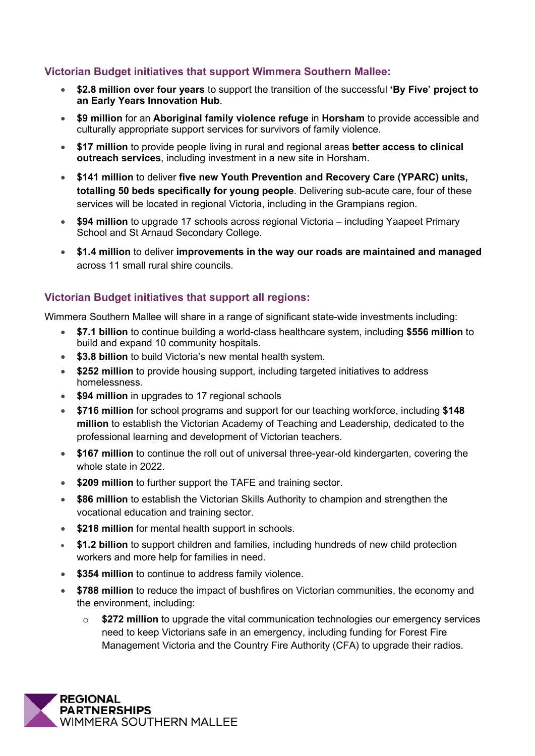## **Victorian Budget initiatives that support Wimmera Southern Mallee:**

- **\$2.8 million over four years** to support the transition of the successful **'By Five' project to an Early Years Innovation Hub**.
- **\$9 million** for an **Aboriginal family violence refuge** in **Horsham** to provide accessible and culturally appropriate support services for survivors of family violence.
- **\$17 million** to provide people living in rural and regional areas **better access to clinical outreach services**, including investment in a new site in Horsham.
- **\$141 million** to deliver **five new Youth Prevention and Recovery Care (YPARC) units, totalling 50 beds specifically for young people**. Delivering sub-acute care, four of these services will be located in regional Victoria, including in the Grampians region.
- **\$94 million** to upgrade 17 schools across regional Victoria including Yaapeet Primary School and St Arnaud Secondary College.
- **\$1.4 million** to deliver **improvements in the way our roads are maintained and managed** across 11 small rural shire councils.

#### **Victorian Budget initiatives that support all regions:**

Wimmera Southern Mallee will share in a range of significant state-wide investments including:

- **\$7.1 billion** to continue building a world-class healthcare system, including **\$556 million** to build and expand 10 community hospitals.
- **\$3.8 billion** to build Victoria's new mental health system.
- **\$252 million** to provide housing support, including targeted initiatives to address homelessness.
- **\$94 million** in upgrades to 17 regional schools
- **\$716 million** for school programs and support for our teaching workforce, including **\$148 million** to establish the Victorian Academy of Teaching and Leadership, dedicated to the professional learning and development of Victorian teachers.
- **\$167 million** to continue the roll out of universal three-year-old kindergarten, covering the whole state in 2022.
- **\$209 million** to further support the TAFE and training sector.
- **\$86 million** to establish the Victorian Skills Authority to champion and strengthen the vocational education and training sector.
- **\$218 million** for mental health support in schools.
- **\$1.2 billion** to support children and families, including hundreds of new child protection workers and more help for families in need.
- **\$354 million** to continue to address family violence.
- **\$788 million** to reduce the impact of bushfires on Victorian communities, the economy and the environment, including:
	- o **\$272 million** to upgrade the vital communication technologies our emergency services need to keep Victorians safe in an emergency, including funding for Forest Fire Management Victoria and the Country Fire Authority (CFA) to upgrade their radios.